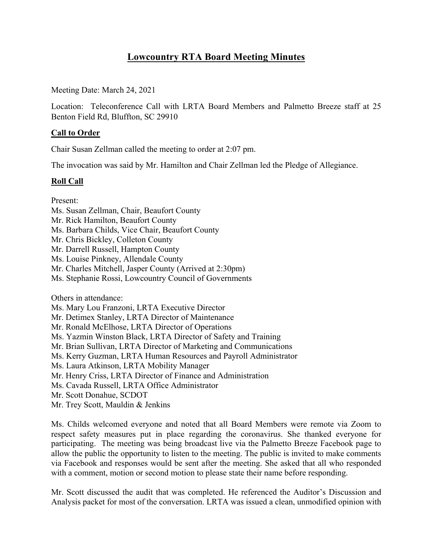# **Lowcountry RTA Board Meeting Minutes**

Meeting Date: March 24, 2021

Location: Teleconference Call with LRTA Board Members and Palmetto Breeze staff at 25 Benton Field Rd, Bluffton, SC 29910

# **Call to Order**

Chair Susan Zellman called the meeting to order at 2:07 pm.

The invocation was said by Mr. Hamilton and Chair Zellman led the Pledge of Allegiance.

# **Roll Call**

Present:

- Ms. Susan Zellman, Chair, Beaufort County
- Mr. Rick Hamilton, Beaufort County
- Ms. Barbara Childs, Vice Chair, Beaufort County
- Mr. Chris Bickley, Colleton County
- Mr. Darrell Russell, Hampton County
- Ms. Louise Pinkney, Allendale County
- Mr. Charles Mitchell, Jasper County (Arrived at 2:30pm)
- Ms. Stephanie Rossi, Lowcountry Council of Governments

Others in attendance:

Ms. Mary Lou Franzoni, LRTA Executive Director

Mr. Detimex Stanley, LRTA Director of Maintenance

Mr. Ronald McElhose, LRTA Director of Operations

- Ms. Yazmin Winston Black, LRTA Director of Safety and Training
- Mr. Brian Sullivan, LRTA Director of Marketing and Communications
- Ms. Kerry Guzman, LRTA Human Resources and Payroll Administrator
- Ms. Laura Atkinson, LRTA Mobility Manager
- Mr. Henry Criss, LRTA Director of Finance and Administration
- Ms. Cavada Russell, LRTA Office Administrator
- Mr. Scott Donahue, SCDOT
- Mr. Trey Scott, Mauldin & Jenkins

Ms. Childs welcomed everyone and noted that all Board Members were remote via Zoom to respect safety measures put in place regarding the coronavirus. She thanked everyone for participating. The meeting was being broadcast live via the Palmetto Breeze Facebook page to allow the public the opportunity to listen to the meeting. The public is invited to make comments via Facebook and responses would be sent after the meeting. She asked that all who responded with a comment, motion or second motion to please state their name before responding.

Mr. Scott discussed the audit that was completed. He referenced the Auditor's Discussion and Analysis packet for most of the conversation. LRTA was issued a clean, unmodified opinion with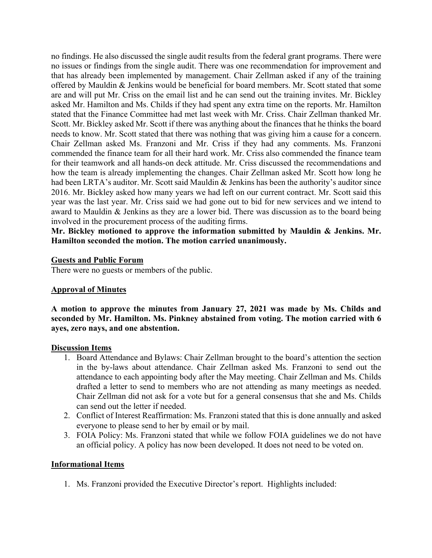no findings. He also discussed the single audit results from the federal grant programs. There were no issues or findings from the single audit. There was one recommendation for improvement and that has already been implemented by management. Chair Zellman asked if any of the training offered by Mauldin & Jenkins would be beneficial for board members. Mr. Scott stated that some are and will put Mr. Criss on the email list and he can send out the training invites. Mr. Bickley asked Mr. Hamilton and Ms. Childs if they had spent any extra time on the reports. Mr. Hamilton stated that the Finance Committee had met last week with Mr. Criss. Chair Zellman thanked Mr. Scott. Mr. Bickley asked Mr. Scott if there was anything about the finances that he thinks the board needs to know. Mr. Scott stated that there was nothing that was giving him a cause for a concern. Chair Zellman asked Ms. Franzoni and Mr. Criss if they had any comments. Ms. Franzoni commended the finance team for all their hard work. Mr. Criss also commended the finance team for their teamwork and all hands-on deck attitude. Mr. Criss discussed the recommendations and how the team is already implementing the changes. Chair Zellman asked Mr. Scott how long he had been LRTA's auditor. Mr. Scott said Mauldin & Jenkins has been the authority's auditor since 2016. Mr. Bickley asked how many years we had left on our current contract. Mr. Scott said this year was the last year. Mr. Criss said we had gone out to bid for new services and we intend to award to Mauldin & Jenkins as they are a lower bid. There was discussion as to the board being involved in the procurement process of the auditing firms.

**Mr. Bickley motioned to approve the information submitted by Mauldin & Jenkins. Mr. Hamilton seconded the motion. The motion carried unanimously.** 

#### **Guests and Public Forum**

There were no guests or members of the public.

## **Approval of Minutes**

**A motion to approve the minutes from January 27, 2021 was made by Ms. Childs and seconded by Mr. Hamilton. Ms. Pinkney abstained from voting. The motion carried with 6 ayes, zero nays, and one abstention.**

#### **Discussion Items**

- 1. Board Attendance and Bylaws: Chair Zellman brought to the board's attention the section in the by-laws about attendance. Chair Zellman asked Ms. Franzoni to send out the attendance to each appointing body after the May meeting. Chair Zellman and Ms. Childs drafted a letter to send to members who are not attending as many meetings as needed. Chair Zellman did not ask for a vote but for a general consensus that she and Ms. Childs can send out the letter if needed.
- 2. Conflict of Interest Reaffirmation: Ms. Franzoni stated that this is done annually and asked everyone to please send to her by email or by mail.
- 3. FOIA Policy: Ms. Franzoni stated that while we follow FOIA guidelines we do not have an official policy. A policy has now been developed. It does not need to be voted on.

## **Informational Items**

1. Ms. Franzoni provided the Executive Director's report. Highlights included: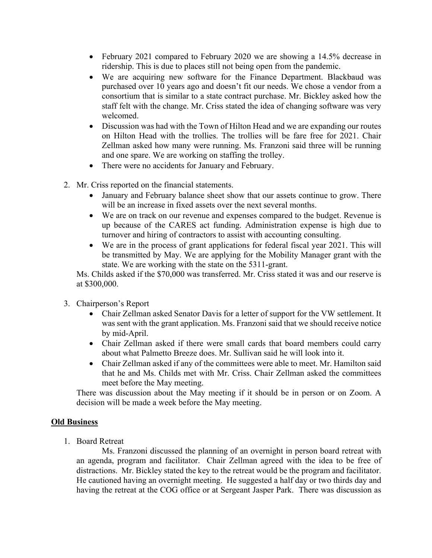- February 2021 compared to February 2020 we are showing a 14.5% decrease in ridership. This is due to places still not being open from the pandemic.
- We are acquiring new software for the Finance Department. Blackbaud was purchased over 10 years ago and doesn't fit our needs. We chose a vendor from a consortium that is similar to a state contract purchase. Mr. Bickley asked how the staff felt with the change. Mr. Criss stated the idea of changing software was very welcomed.
- Discussion was had with the Town of Hilton Head and we are expanding our routes on Hilton Head with the trollies. The trollies will be fare free for 2021. Chair Zellman asked how many were running. Ms. Franzoni said three will be running and one spare. We are working on staffing the trolley.
- There were no accidents for January and February.
- 2. Mr. Criss reported on the financial statements.
	- January and February balance sheet show that our assets continue to grow. There will be an increase in fixed assets over the next several months.
	- We are on track on our revenue and expenses compared to the budget. Revenue is up because of the CARES act funding. Administration expense is high due to turnover and hiring of contractors to assist with accounting consulting.
	- We are in the process of grant applications for federal fiscal year 2021. This will be transmitted by May. We are applying for the Mobility Manager grant with the state. We are working with the state on the 5311-grant.

Ms. Childs asked if the \$70,000 was transferred. Mr. Criss stated it was and our reserve is at \$300,000.

- 3. Chairperson's Report
	- Chair Zellman asked Senator Davis for a letter of support for the VW settlement. It was sent with the grant application. Ms. Franzoni said that we should receive notice by mid-April.
	- Chair Zellman asked if there were small cards that board members could carry about what Palmetto Breeze does. Mr. Sullivan said he will look into it.
	- Chair Zellman asked if any of the committees were able to meet. Mr. Hamilton said that he and Ms. Childs met with Mr. Criss. Chair Zellman asked the committees meet before the May meeting.

There was discussion about the May meeting if it should be in person or on Zoom. A decision will be made a week before the May meeting.

#### **Old Business**

1. Board Retreat

Ms. Franzoni discussed the planning of an overnight in person board retreat with an agenda, program and facilitator. Chair Zellman agreed with the idea to be free of distractions. Mr. Bickley stated the key to the retreat would be the program and facilitator. He cautioned having an overnight meeting. He suggested a half day or two thirds day and having the retreat at the COG office or at Sergeant Jasper Park. There was discussion as